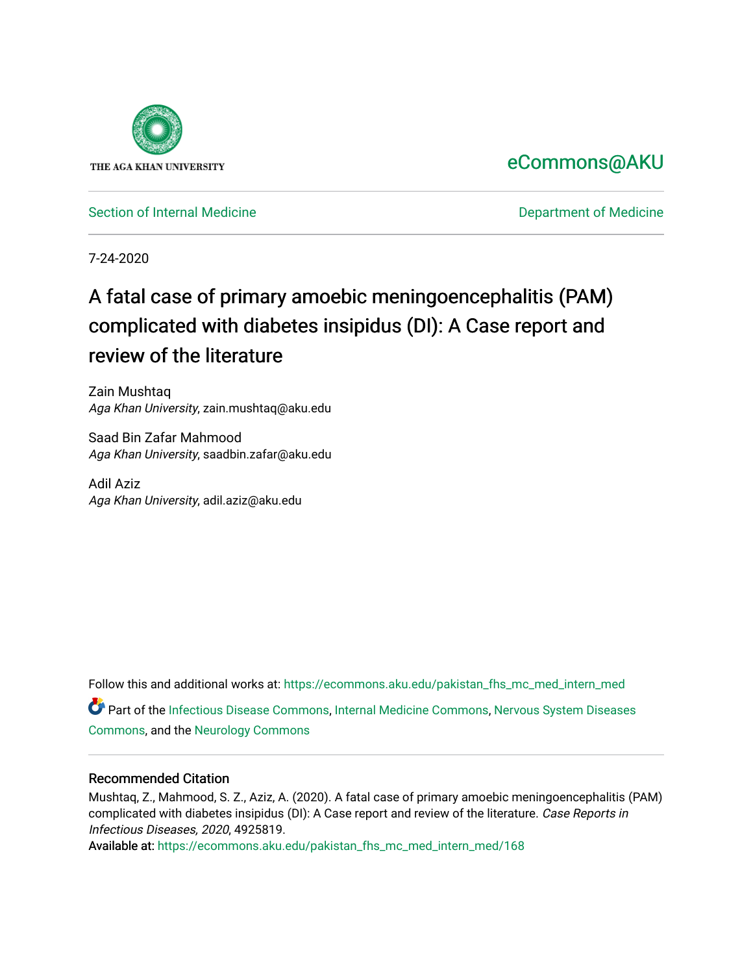

# [eCommons@AKU](https://ecommons.aku.edu/)

[Section of Internal Medicine](https://ecommons.aku.edu/pakistan_fhs_mc_med_intern_med) **Department of Medicine** Department of Medicine

7-24-2020

# A fatal case of primary amoebic meningoencephalitis (PAM) complicated with diabetes insipidus (DI): A Case report and review of the literature

Zain Mushtaq Aga Khan University, zain.mushtaq@aku.edu

Saad Bin Zafar Mahmood Aga Khan University, saadbin.zafar@aku.edu

Adil Aziz Aga Khan University, adil.aziz@aku.edu

Follow this and additional works at: [https://ecommons.aku.edu/pakistan\\_fhs\\_mc\\_med\\_intern\\_med](https://ecommons.aku.edu/pakistan_fhs_mc_med_intern_med?utm_source=ecommons.aku.edu%2Fpakistan_fhs_mc_med_intern_med%2F168&utm_medium=PDF&utm_campaign=PDFCoverPages)  Part of the [Infectious Disease Commons,](http://network.bepress.com/hgg/discipline/689?utm_source=ecommons.aku.edu%2Fpakistan_fhs_mc_med_intern_med%2F168&utm_medium=PDF&utm_campaign=PDFCoverPages) [Internal Medicine Commons](http://network.bepress.com/hgg/discipline/1356?utm_source=ecommons.aku.edu%2Fpakistan_fhs_mc_med_intern_med%2F168&utm_medium=PDF&utm_campaign=PDFCoverPages), [Nervous System Diseases](http://network.bepress.com/hgg/discipline/928?utm_source=ecommons.aku.edu%2Fpakistan_fhs_mc_med_intern_med%2F168&utm_medium=PDF&utm_campaign=PDFCoverPages)  [Commons](http://network.bepress.com/hgg/discipline/928?utm_source=ecommons.aku.edu%2Fpakistan_fhs_mc_med_intern_med%2F168&utm_medium=PDF&utm_campaign=PDFCoverPages), and the [Neurology Commons](http://network.bepress.com/hgg/discipline/692?utm_source=ecommons.aku.edu%2Fpakistan_fhs_mc_med_intern_med%2F168&utm_medium=PDF&utm_campaign=PDFCoverPages)

# Recommended Citation

Mushtaq, Z., Mahmood, S. Z., Aziz, A. (2020). A fatal case of primary amoebic meningoencephalitis (PAM) complicated with diabetes insipidus (DI): A Case report and review of the literature. Case Reports in Infectious Diseases, 2020, 4925819.

Available at: [https://ecommons.aku.edu/pakistan\\_fhs\\_mc\\_med\\_intern\\_med/168](https://ecommons.aku.edu/pakistan_fhs_mc_med_intern_med/168)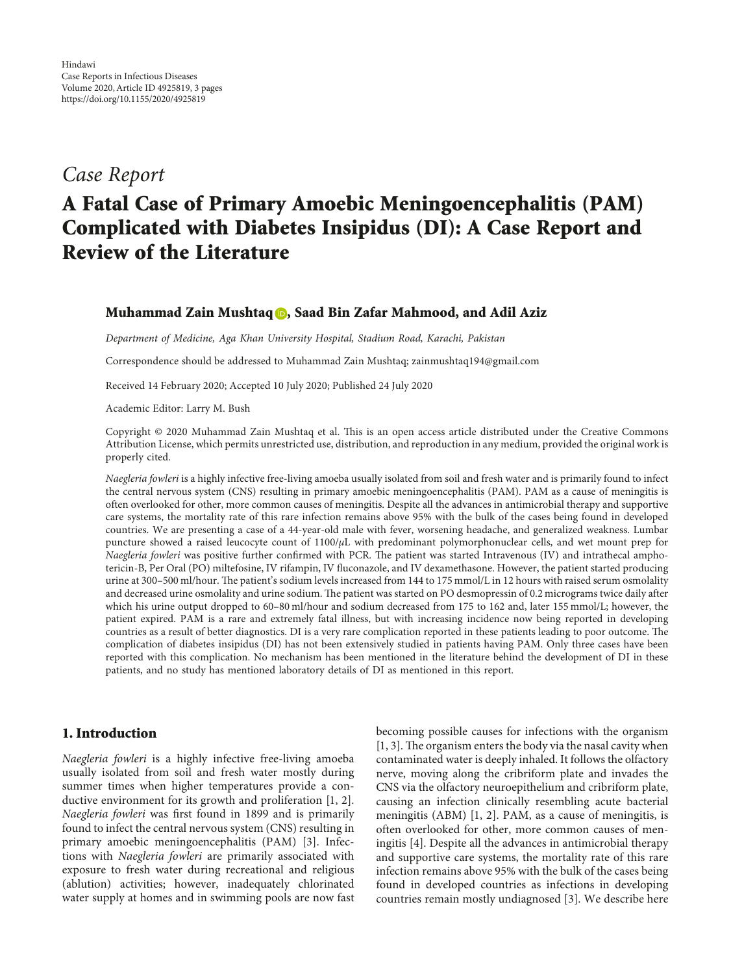# *Case Report*

# **A Fatal Case of Primary Amoebic Meningoencephalitis (PAM) Complicated with Diabetes Insipidus (DI): A Case Report and Review of the Literature**

## **Muhammad Zain Mushtaq , Saad Bin Zafar Mahmood, and Adil Aziz**

*Department of Medicine, Aga Khan University Hospital, Stadium Road, Karachi, Pakistan*

Correspondence should be addressed to Muhammad Zain Mushtaq; [zainmushtaq194@gmail.com](mailto:zainmushtaq194@gmail.com)

Received 14 February 2020; Accepted 10 July 2020; Published 24 July 2020

Academic Editor: Larry M. Bush

Copyright © 2020 Muhammad Zain Mushtaq et al. This is an open access article distributed under the [Creative Commons](https://creativecommons.org/licenses/by/4.0/) [Attribution License](https://creativecommons.org/licenses/by/4.0/), which permits unrestricted use, distribution, and reproduction in any medium, provided the original work is properly cited.

*Naegleria fowleri* is a highly infective free-living amoeba usually isolated from soil and fresh water and is primarily found to infect the central nervous system (CNS) resulting in primary amoebic meningoencephalitis (PAM). PAM as a cause of meningitis is often overlooked for other, more common causes of meningitis. Despite all the advances in antimicrobial therapy and supportive care systems, the mortality rate of this rare infection remains above 95% with the bulk of the cases being found in developed countries. We are presenting a case of a 44-year-old male with fever, worsening headache, and generalized weakness. Lumbar puncture showed a raised leucocyte count of 1100/*µ*L with predominant polymorphonuclear cells, and wet mount prep for *Naegleria fowleri* was positive further confirmed with PCR. The patient was started Intravenous (IV) and intrathecal amphotericin-B, Per Oral (PO) miltefosine, IV rifampin, IV fluconazole, and IV dexamethasone. However, the patient started producing urine at 300–500 ml/hour. The patient's sodium levels increased from 144 to 175 mmol/L in 12 hours with raised serum osmolality and decreased urine osmolality and urine sodium. The patient was started on PO desmopressin of 0.2 micrograms twice daily after which his urine output dropped to 60-80 ml/hour and sodium decreased from 175 to 162 and, later 155 mmol/L; however, the patient expired. PAM is a rare and extremely fatal illness, but with increasing incidence now being reported in developing countries as a result of better diagnostics. DI is a very rare complication reported in these patients leading to poor outcome. The complication of diabetes insipidus (DI) has not been extensively studied in patients having PAM. Only three cases have been reported with this complication. No mechanism has been mentioned in the literature behind the development of DI in these patients, and no study has mentioned laboratory details of DI as mentioned in this report.

## **1. Introduction**

*Naegleria fowleri* is a highly infective free-living amoeba usually isolated from soil and fresh water mostly during summer times when higher temperatures provide a conductive environment for its growth and proliferation [\[1](#page-3-0), [2](#page-3-0)]. *Naegleria fowleri* was first found in 1899 and is primarily found to infect the central nervous system (CNS) resulting in primary amoebic meningoencephalitis (PAM) [[3\]](#page-3-0). Infections with *Naegleria fowleri* are primarily associated with exposure to fresh water during recreational and religious (ablution) activities; however, inadequately chlorinated water supply at homes and in swimming pools are now fast

becoming possible causes for infections with the organism  $[1, 3]$ . The organism enters the body via the nasal cavity when contaminated water is deeply inhaled. It follows the olfactory nerve, moving along the cribriform plate and invades the CNS via the olfactory neuroepithelium and cribriform plate, causing an infection clinically resembling acute bacterial meningitis (ABM) [[1](#page-3-0), [2](#page-3-0)]. PAM, as a cause of meningitis, is often overlooked for other, more common causes of meningitis [[4\]](#page-3-0). Despite all the advances in antimicrobial therapy and supportive care systems, the mortality rate of this rare infection remains above 95% with the bulk of the cases being found in developed countries as infections in developing countries remain mostly undiagnosed [[3\]](#page-3-0). We describe here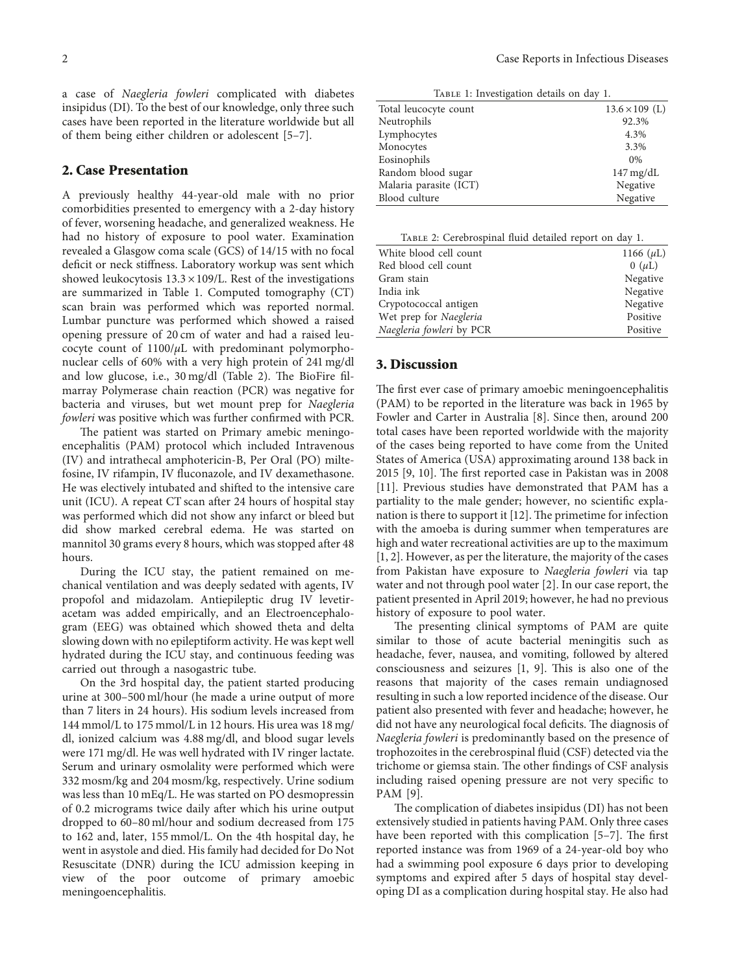a case of *Naegleria fowleri* complicated with diabetes insipidus (DI). To the best of our knowledge, only three such cases have been reported in the literature worldwide but all of them being either children or adolescent [[5–7\]](#page-3-0).

#### **2. Case Presentation**

A previously healthy 44-year-old male with no prior comorbidities presented to emergency with a 2-day history of fever, worsening headache, and generalized weakness. He had no history of exposure to pool water. Examination revealed a Glasgow coma scale (GCS) of 14/15 with no focal deficit or neck stiffness. Laboratory workup was sent which showed leukocytosis  $13.3 \times 109$ /L. Rest of the investigations are summarized in Table 1. Computed tomography (CT) scan brain was performed which was reported normal. Lumbar puncture was performed which showed a raised opening pressure of 20 cm of water and had a raised leucocyte count of 1100/*µ*L with predominant polymorphonuclear cells of 60% with a very high protein of 241 mg/dl and low glucose, i.e.,  $30 \text{ mg/dl}$  (Table 2). The BioFire filmarray Polymerase chain reaction (PCR) was negative for bacteria and viruses, but wet mount prep for *Naegleria fowleri* was positive which was further confirmed with PCR.

The patient was started on Primary amebic meningoencephalitis (PAM) protocol which included Intravenous (IV) and intrathecal amphotericin-B, Per Oral (PO) miltefosine, IV rifampin, IV fluconazole, and IV dexamethasone. He was electively intubated and shifted to the intensive care unit (ICU). A repeat CT scan after 24 hours of hospital stay was performed which did not show any infarct or bleed but did show marked cerebral edema. He was started on mannitol 30 grams every 8 hours, which was stopped after 48 hours.

During the ICU stay, the patient remained on mechanical ventilation and was deeply sedated with agents, IV propofol and midazolam. Antiepileptic drug IV levetiracetam was added empirically, and an Electroencephalogram (EEG) was obtained which showed theta and delta slowing down with no epileptiform activity. He was kept well hydrated during the ICU stay, and continuous feeding was carried out through a nasogastric tube.

On the 3rd hospital day, the patient started producing urine at 300–500 ml/hour (he made a urine output of more than 7 liters in 24 hours). His sodium levels increased from 144 mmol/L to 175 mmol/L in 12 hours. His urea was 18 mg/ dl, ionized calcium was 4.88 mg/dl, and blood sugar levels were 171 mg/dl. He was well hydrated with IV ringer lactate. Serum and urinary osmolality were performed which were 332 mosm/kg and 204 mosm/kg, respectively. Urine sodium was less than 10 mEq/L. He was started on PO desmopressin of 0.2 micrograms twice daily after which his urine output dropped to 60–80 ml/hour and sodium decreased from 175 to 162 and, later, 155 mmol/L. On the 4th hospital day, he went in asystole and died. His family had decided for Do Not Resuscitate (DNR) during the ICU admission keeping in view of the poor outcome of primary amoebic meningoencephalitis.

Table 1: Investigation details on day 1. Total leucocyte count  $13.6 \times 109$  (L)

| Neutrophils            | 92.3%                  |
|------------------------|------------------------|
| Lymphocytes            | 4.3%                   |
| Monocytes              | 3.3%                   |
| Eosinophils            | $0\%$                  |
| Random blood sugar     | $147 \,\mathrm{mg/dL}$ |
| Malaria parasite (ICT) | Negative               |
| Blood culture          | Negative               |

Table 2: Cerebrospinal fluid detailed report on day 1.

| Red blood cell count<br>$0~(\mu L)$<br>Gram stain<br>India ink<br>Crypotococcal antigen<br>Negative<br>Wet prep for Naegleria<br>Positive<br>Naegleria fowleri by PCR<br>Positive | White blood cell count | 1166 ( $\mu$ L) |
|-----------------------------------------------------------------------------------------------------------------------------------------------------------------------------------|------------------------|-----------------|
|                                                                                                                                                                                   |                        |                 |
|                                                                                                                                                                                   |                        | Negative        |
|                                                                                                                                                                                   |                        | Negative        |
|                                                                                                                                                                                   |                        |                 |
|                                                                                                                                                                                   |                        |                 |
|                                                                                                                                                                                   |                        |                 |

#### **3. Discussion**

The first ever case of primary amoebic meningoencephalitis (PAM) to be reported in the literature was back in 1965 by Fowler and Carter in Australia [\[8\]](#page-3-0). Since then, around 200 total cases have been reported worldwide with the majority of the cases being reported to have come from the United States of America (USA) approximating around 138 back in  $2015$  [[9, 10](#page-3-0)]. The first reported case in Pakistan was in 2008 [\[11](#page-3-0)]. Previous studies have demonstrated that PAM has a partiality to the male gender; however, no scientific explanation is there to support it  $[12]$  $[12]$ . The primetime for infection with the amoeba is during summer when temperatures are high and water recreational activities are up to the maximum [\[1, 2\]](#page-3-0). However, as per the literature, the majority of the cases from Pakistan have exposure to *Naegleria fowleri* via tap water and not through pool water [[2](#page-3-0)]. In our case report, the patient presented in April 2019; however, he had no previous history of exposure to pool water.

The presenting clinical symptoms of PAM are quite similar to those of acute bacterial meningitis such as headache, fever, nausea, and vomiting, followed by altered consciousness and seizures  $[1, 9]$  $[1, 9]$  $[1, 9]$ . This is also one of the reasons that majority of the cases remain undiagnosed resulting in such a low reported incidence of the disease. Our patient also presented with fever and headache; however, he did not have any neurological focal deficits. The diagnosis of *Naegleria fowleri* is predominantly based on the presence of trophozoites in the cerebrospinal fluid (CSF) detected via the trichome or giemsa stain. The other findings of CSF analysis including raised opening pressure are not very specific to PAM [\[9\]](#page-3-0).

The complication of diabetes insipidus (DI) has not been extensively studied in patients having PAM. Only three cases have been reported with this complication  $[5-7]$ . The first reported instance was from 1969 of a 24-year-old boy who had a swimming pool exposure 6 days prior to developing symptoms and expired after 5 days of hospital stay developing DI as a complication during hospital stay. He also had